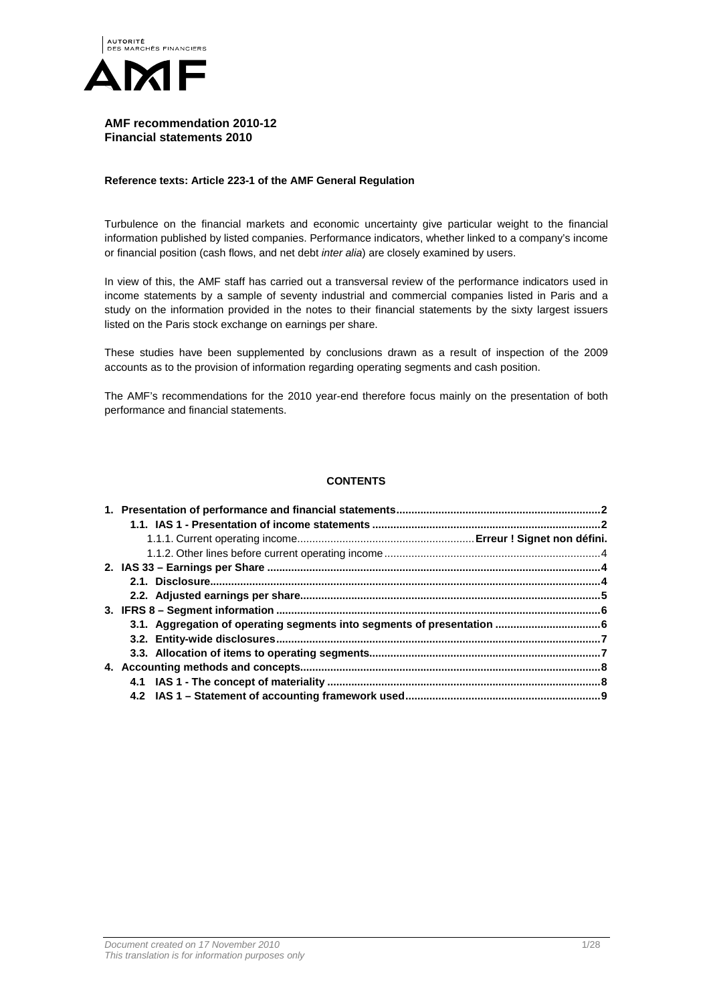

**AMF recommendation 2010-12 Financial statements 2010** 

# **Reference texts: Article 223-1 of the AMF General Regulation**

Turbulence on the financial markets and economic uncertainty give particular weight to the financial information published by listed companies. Performance indicators, whether linked to a company's income or financial position (cash flows, and net debt inter alia) are closely examined by users.

In view of this, the AMF staff has carried out a transversal review of the performance indicators used in income statements by a sample of seventy industrial and commercial companies listed in Paris and a study on the information provided in the notes to their financial statements by the sixty largest issuers listed on the Paris stock exchange on earnings per share.

These studies have been supplemented by conclusions drawn as a result of inspection of the 2009 accounts as to the provision of information regarding operating segments and cash position.

The AMF's recommendations for the 2010 year-end therefore focus mainly on the presentation of both performance and financial statements.

#### **CONTENTS**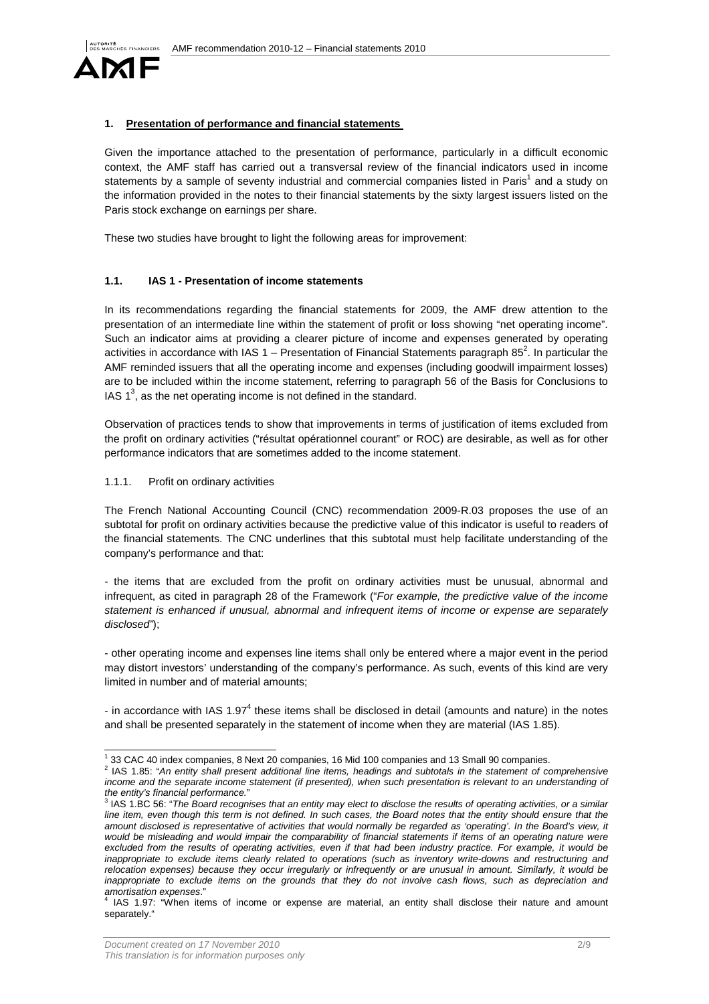

# **1. Presentation of performance and financial statements**

Given the importance attached to the presentation of performance, particularly in a difficult economic context, the AMF staff has carried out a transversal review of the financial indicators used in income statements by a sample of seventy industrial and commercial companies listed in Paris<sup>1</sup> and a study on the information provided in the notes to their financial statements by the sixty largest issuers listed on the Paris stock exchange on earnings per share.

These two studies have brought to light the following areas for improvement:

### **1.1. IAS 1 - Presentation of income statements**

In its recommendations regarding the financial statements for 2009, the AMF drew attention to the presentation of an intermediate line within the statement of profit or loss showing "net operating income". Such an indicator aims at providing a clearer picture of income and expenses generated by operating activities in accordance with IAS 1 – Presentation of Financial Statements paragraph 85<sup>2</sup>. In particular the AMF reminded issuers that all the operating income and expenses (including goodwill impairment losses) are to be included within the income statement, referring to paragraph 56 of the Basis for Conclusions to IAS  $1^3$ , as the net operating income is not defined in the standard.

Observation of practices tends to show that improvements in terms of justification of items excluded from the profit on ordinary activities ("résultat opérationnel courant" or ROC) are desirable, as well as for other performance indicators that are sometimes added to the income statement.

#### 1.1.1. Profit on ordinary activities

l

The French National Accounting Council (CNC) recommendation 2009-R.03 proposes the use of an subtotal for profit on ordinary activities because the predictive value of this indicator is useful to readers of the financial statements. The CNC underlines that this subtotal must help facilitate understanding of the company's performance and that:

- the items that are excluded from the profit on ordinary activities must be unusual, abnormal and infrequent, as cited in paragraph 28 of the Framework ("For example, the predictive value of the income statement is enhanced if unusual, abnormal and infrequent items of income or expense are separately disclosed");

- other operating income and expenses line items shall only be entered where a major event in the period may distort investors' understanding of the company's performance. As such, events of this kind are very limited in number and of material amounts;

- in accordance with IAS 1.97<sup>4</sup> these items shall be disclosed in detail (amounts and nature) in the notes and shall be presented separately in the statement of income when they are material (IAS 1.85).

<sup>&</sup>lt;sup>1</sup> 33 CAC 40 index companies, 8 Next 20 companies, 16 Mid 100 companies and 13 Small 90 companies.

<sup>&</sup>lt;sup>2</sup> IAS 1.85: "An entity shall present additional line items, headings and subtotals in the statement of comprehensive income and the separate income statement (if presented), when such presentation is relevant to an understanding of

the entity's financial performance."<br><sup>3</sup> IAS 1.BC 56: "The Board recognises that an entity may elect to disclose the results of operating activities, or a similar line item, even though this term is not defined. In such cases, the Board notes that the entity should ensure that the amount disclosed is representative of activities that would normally be regarded as 'operating'. In the Board's view, it would be misleading and would impair the comparability of financial statements if items of an operating nature were excluded from the results of operating activities, even if that had been industry practice. For example, it would be inappropriate to exclude items clearly related to operations (such as inventory write-downs and restructuring and relocation expenses) because they occur irregularly or infrequently or are unusual in amount. Similarly, it would be inappropriate to exclude items on the grounds that they do not involve cash flows, such as depreciation and amortisation expenses."<br><sup>4</sup> JAS 1.07: "When iten

IAS 1.97: "When items of income or expense are material, an entity shall disclose their nature and amount separately."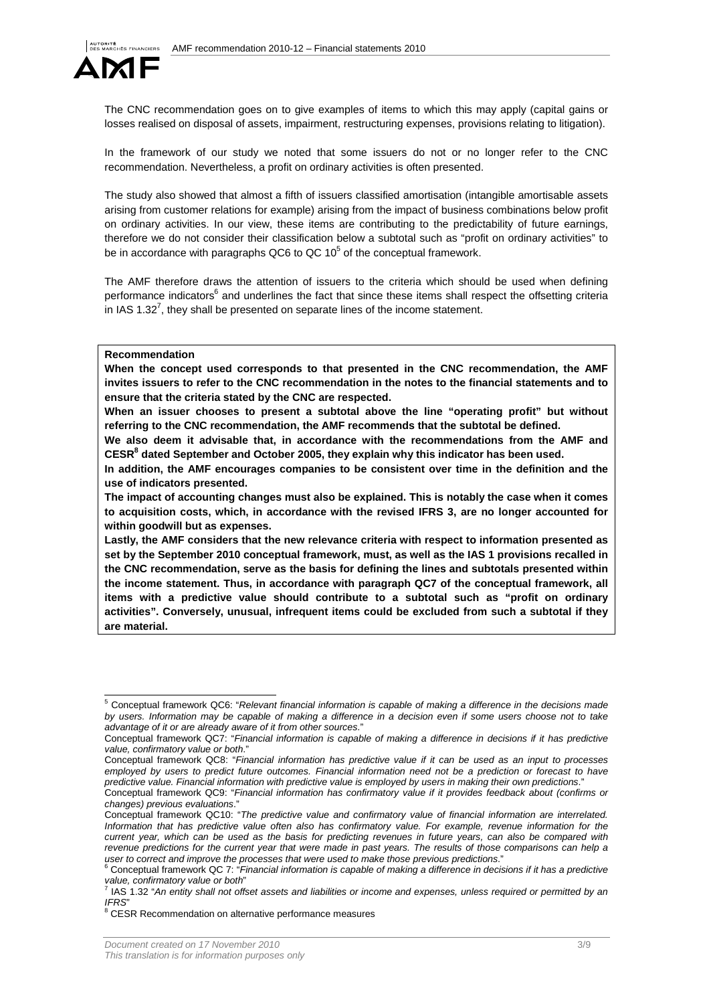

The CNC recommendation goes on to give examples of items to which this may apply (capital gains or losses realised on disposal of assets, impairment, restructuring expenses, provisions relating to litigation).

In the framework of our study we noted that some issuers do not or no longer refer to the CNC recommendation. Nevertheless, a profit on ordinary activities is often presented.

The study also showed that almost a fifth of issuers classified amortisation (intangible amortisable assets arising from customer relations for example) arising from the impact of business combinations below profit on ordinary activities. In our view, these items are contributing to the predictability of future earnings, therefore we do not consider their classification below a subtotal such as "profit on ordinary activities" to be in accordance with paragraphs QC6 to QC 10<sup>5</sup> of the conceptual framework.

The AMF therefore draws the attention of issuers to the criteria which should be used when defining performance indicators<sup>6</sup> and underlines the fact that since these items shall respect the offsetting criteria in IAS 1.32<sup>7</sup>, they shall be presented on separate lines of the income statement.

#### **Recommendation**

 $\overline{a}$ 

**When the concept used corresponds to that presented in the CNC recommendation, the AMF invites issuers to refer to the CNC recommendation in the notes to the financial statements and to ensure that the criteria stated by the CNC are respected.** 

**When an issuer chooses to present a subtotal above the line "operating profit" but without referring to the CNC recommendation, the AMF recommends that the subtotal be defined.** 

**We also deem it advisable that, in accordance with the recommendations from the AMF and CESR<sup>8</sup> dated September and October 2005, they explain why this indicator has been used.** 

**In addition, the AMF encourages companies to be consistent over time in the definition and the use of indicators presented.** 

**The impact of accounting changes must also be explained. This is notably the case when it comes to acquisition costs, which, in accordance with the revised IFRS 3, are no longer accounted for within goodwill but as expenses.** 

**Lastly, the AMF considers that the new relevance criteria with respect to information presented as set by the September 2010 conceptual framework, must, as well as the IAS 1 provisions recalled in the CNC recommendation, serve as the basis for defining the lines and subtotals presented within the income statement. Thus, in accordance with paragraph QC7 of the conceptual framework, all items with a predictive value should contribute to a subtotal such as "profit on ordinary activities". Conversely, unusual, infrequent items could be excluded from such a subtotal if they are material.**

<sup>5</sup> Conceptual framework QC6: "Relevant financial information is capable of making a difference in the decisions made by users. Information may be capable of making a difference in a decision even if some users choose not to take advantage of it or are already aware of it from other sources."

Conceptual framework QC7: "Financial information is capable of making a difference in decisions if it has predictive value, confirmatory value or both."

Conceptual framework QC8: "Financial information has predictive value if it can be used as an input to processes employed by users to predict future outcomes. Financial information need not be a prediction or forecast to have predictive value. Financial information with predictive value is employed by users in making their own predictions."

Conceptual framework QC9: "Financial information has confirmatory value if it provides feedback about (confirms or changes) previous evaluations."

Conceptual framework QC10: "The predictive value and confirmatory value of financial information are interrelated. Information that has predictive value often also has confirmatory value. For example, revenue information for the current year, which can be used as the basis for predicting revenues in future years, can also be compared with revenue predictions for the current year that were made in past years. The results of those comparisons can help a user to correct and improve the processes that were used to make those previous predictions."<br><sup>6</sup> Consentual tramework OC 7: "Financial information is espable of making a difference in decis

Conceptual framework QC 7: "Financial information is capable of making a difference in decisions if it has a predictive value, confirmatory value or both"

<sup>&</sup>lt;sup>7</sup> IAS 1.32 "An entity shall not offset assets and liabilities or income and expenses, unless required or permitted by an

*IFRS*"<br><sup>8</sup> CESR Recommendation on alternative performance measures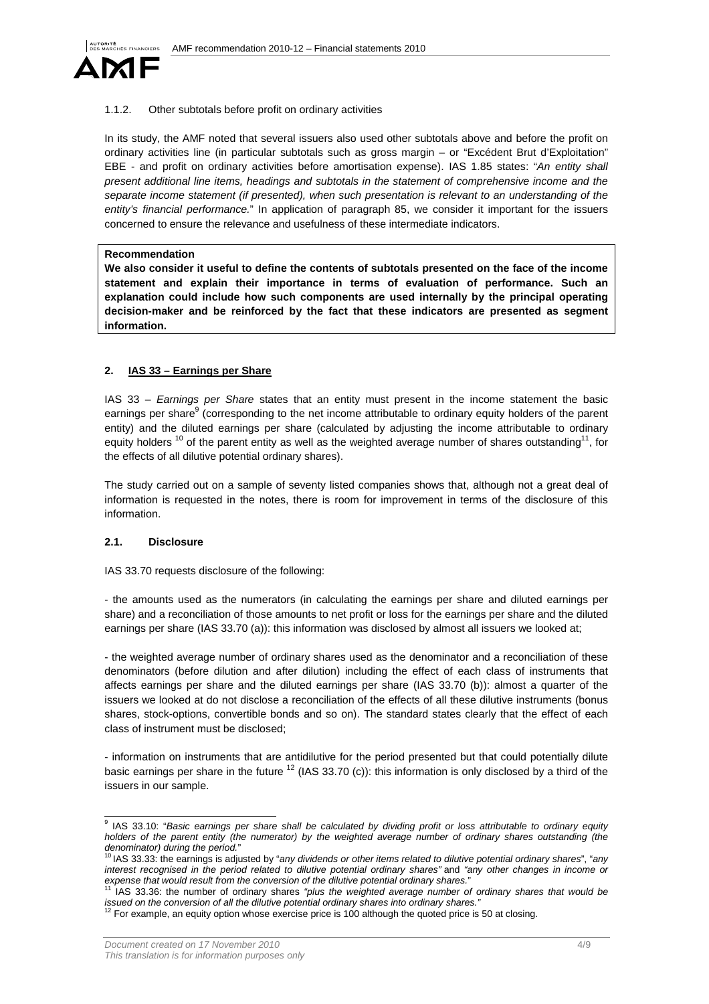

## 1.1.2. Other subtotals before profit on ordinary activities

In its study, the AMF noted that several issuers also used other subtotals above and before the profit on ordinary activities line (in particular subtotals such as gross margin – or "Excédent Brut d'Exploitation" EBE - and profit on ordinary activities before amortisation expense). IAS 1.85 states: "An entity shall present additional line items, headings and subtotals in the statement of comprehensive income and the separate income statement (if presented), when such presentation is relevant to an understanding of the entity's financial performance." In application of paragraph 85, we consider it important for the issuers concerned to ensure the relevance and usefulness of these intermediate indicators.

## **Recommendation**

**We also consider it useful to define the contents of subtotals presented on the face of the income statement and explain their importance in terms of evaluation of performance. Such an explanation could include how such components are used internally by the principal operating decision-maker and be reinforced by the fact that these indicators are presented as segment information.**

# **2. IAS 33 – Earnings per Share**

IAS 33 - Earnings per Share states that an entity must present in the income statement the basic earnings per share<sup>9</sup> (corresponding to the net income attributable to ordinary equity holders of the parent entity) and the diluted earnings per share (calculated by adjusting the income attributable to ordinary equity holders  $10$  of the parent entity as well as the weighted average number of shares outstanding  $11$ , for the effects of all dilutive potential ordinary shares).

The study carried out on a sample of seventy listed companies shows that, although not a great deal of information is requested in the notes, there is room for improvement in terms of the disclosure of this information.

## **2.1. Disclosure**

IAS 33.70 requests disclosure of the following:

- the amounts used as the numerators (in calculating the earnings per share and diluted earnings per share) and a reconciliation of those amounts to net profit or loss for the earnings per share and the diluted earnings per share (IAS 33.70 (a)): this information was disclosed by almost all issuers we looked at;

- the weighted average number of ordinary shares used as the denominator and a reconciliation of these denominators (before dilution and after dilution) including the effect of each class of instruments that affects earnings per share and the diluted earnings per share (IAS 33.70 (b)): almost a quarter of the issuers we looked at do not disclose a reconciliation of the effects of all these dilutive instruments (bonus shares, stock-options, convertible bonds and so on). The standard states clearly that the effect of each class of instrument must be disclosed;

- information on instruments that are antidilutive for the period presented but that could potentially dilute basic earnings per share in the future <sup>12</sup> (IAS 33.70 (c)): this information is only disclosed by a third of the issuers in our sample.

<sup>-&</sup>lt;br>9 IAS 33.10: "Basic earnings per share shall be calculated by dividing profit or loss attributable to ordinary equity holders of the parent entity (the numerator) by the weighted average number of ordinary shares outstanding (the denominator) during the period."<br><sup>10</sup> IAS 33.33: the earnings is adjusted by "*any dividends or other items related to dilutive potential ordinary shares*", "*any* 

interest recognised in the period related to dilutive potential ordinary shares" and "any other changes in income or expense that would result from the conversion of the dilutive potential ordinary shares."<br>"

<sup>14</sup> IAS 33.36: the number of ordinary shares "plus the weighted average number of ordinary shares that would be issued on the conversion of all the dilutive potential ordinary shares into ordinary shares."

<sup>12</sup> For example, an equity option whose exercise price is 100 although the quoted price is 50 at closing.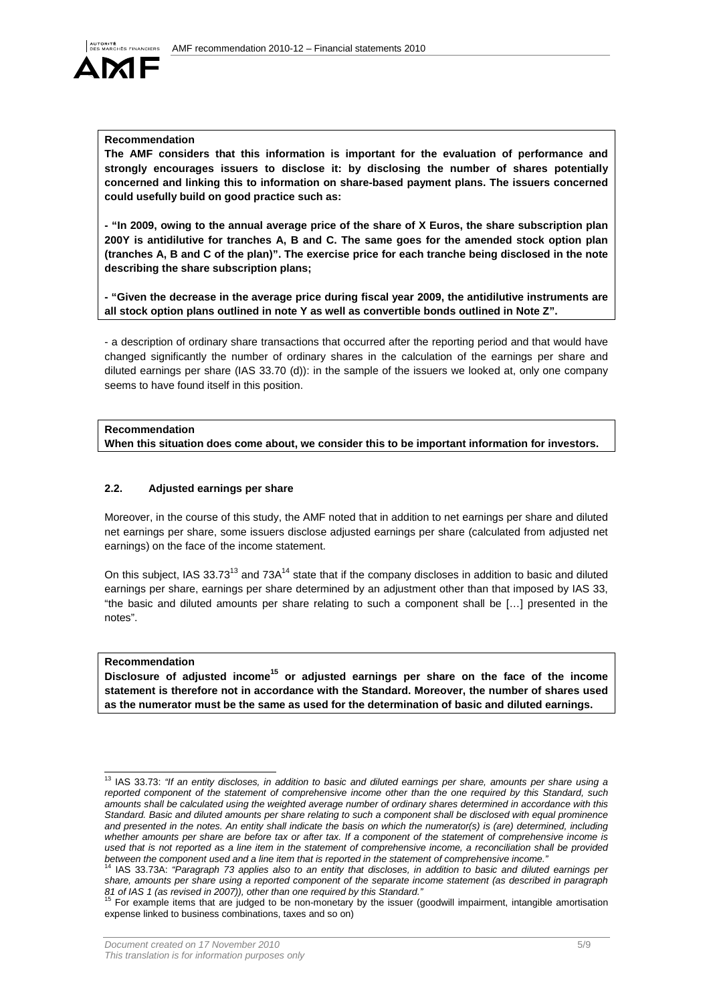

## **Recommendation**

**The AMF considers that this information is important for the evaluation of performance and strongly encourages issuers to disclose it: by disclosing the number of shares potentially concerned and linking this to information on share-based payment plans. The issuers concerned could usefully build on good practice such as:** 

**- "In 2009, owing to the annual average price of the share of X Euros, the share subscription plan 200Y is antidilutive for tranches A, B and C. The same goes for the amended stock option plan (tranches A, B and C of the plan)". The exercise price for each tranche being disclosed in the note describing the share subscription plans;** 

**- "Given the decrease in the average price during fiscal year 2009, the antidilutive instruments are all stock option plans outlined in note Y as well as convertible bonds outlined in Note Z".** 

- a description of ordinary share transactions that occurred after the reporting period and that would have changed significantly the number of ordinary shares in the calculation of the earnings per share and diluted earnings per share (IAS 33.70 (d)): in the sample of the issuers we looked at, only one company seems to have found itself in this position.

## **Recommendation**

**When this situation does come about, we consider this to be important information for investors.** 

## **2.2. Adjusted earnings per share**

Moreover, in the course of this study, the AMF noted that in addition to net earnings per share and diluted net earnings per share, some issuers disclose adjusted earnings per share (calculated from adjusted net earnings) on the face of the income statement.

On this subject, IAS 33.73<sup>13</sup> and 73A<sup>14</sup> state that if the company discloses in addition to basic and diluted earnings per share, earnings per share determined by an adjustment other than that imposed by IAS 33, "the basic and diluted amounts per share relating to such a component shall be […] presented in the notes".

#### **Recommendation**

**Disclosure of adjusted income<sup>15</sup> or adjusted earnings per share on the face of the income statement is therefore not in accordance with the Standard. Moreover, the number of shares used as the numerator must be the same as used for the determination of basic and diluted earnings.**

l  $13$  IAS 33.73: "If an entity discloses, in addition to basic and diluted earnings per share, amounts per share using a reported component of the statement of comprehensive income other than the one required by this Standard, such amounts shall be calculated using the weighted average number of ordinary shares determined in accordance with this Standard. Basic and diluted amounts per share relating to such a component shall be disclosed with equal prominence and presented in the notes. An entity shall indicate the basis on which the numerator(s) is (are) determined, including whether amounts per share are before tax or after tax. If a component of the statement of comprehensive income is used that is not reported as a line item in the statement of comprehensive income, a reconciliation shall be provided between the component used and a line item that is reported in the statement of comprehensive income."

<sup>1</sup>AS 33.73A: "Paragraph 73 applies also to an entity that discloses, in addition to basic and diluted earnings per share, amounts per share using a reported component of the separate income statement (as described in paragraph 81 of IAS 1 (as revised in 2007)), other than one required by this Standard."<br><sup>15</sup> For example items that 2007)), other than one required by this Standard."

<sup>15</sup> For example items that are judged to be non-monetary by the issuer (goodwill impairment, intangible amortisation expense linked to business combinations, taxes and so on)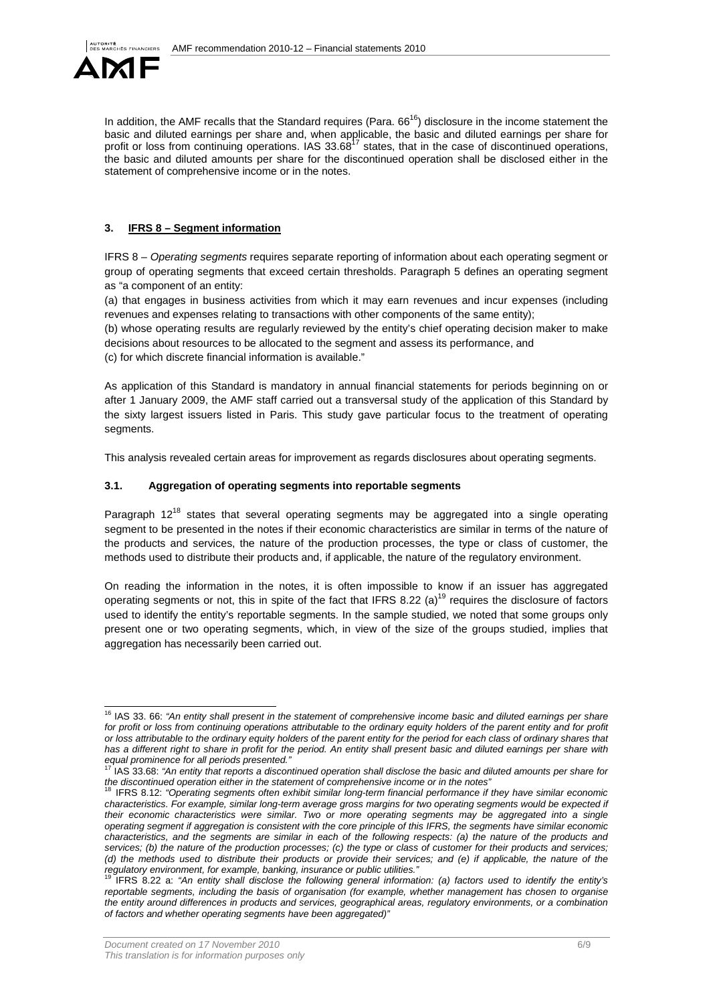

In addition, the AMF recalls that the Standard requires (Para.  $66^{16}$ ) disclosure in the income statement the basic and diluted earnings per share and, when applicable, the basic and diluted earnings per share for profit or loss from continuing operations. IAS 33.68<sup>17</sup> states, that in the case of discontinued operations, the basic and diluted amounts per share for the discontinued operation shall be disclosed either in the statement of comprehensive income or in the notes.

# **3. IFRS 8 – Segment information**

IFRS 8 – Operating segments requires separate reporting of information about each operating segment or group of operating segments that exceed certain thresholds. Paragraph 5 defines an operating segment as "a component of an entity:

(a) that engages in business activities from which it may earn revenues and incur expenses (including revenues and expenses relating to transactions with other components of the same entity);

(b) whose operating results are regularly reviewed by the entity's chief operating decision maker to make decisions about resources to be allocated to the segment and assess its performance, and

(c) for which discrete financial information is available."

As application of this Standard is mandatory in annual financial statements for periods beginning on or after 1 January 2009, the AMF staff carried out a transversal study of the application of this Standard by the sixty largest issuers listed in Paris. This study gave particular focus to the treatment of operating segments.

This analysis revealed certain areas for improvement as regards disclosures about operating segments.

## **3.1. Aggregation of operating segments into reportable segments**

Paragraph 12<sup>18</sup> states that several operating segments may be aggregated into a single operating segment to be presented in the notes if their economic characteristics are similar in terms of the nature of the products and services, the nature of the production processes, the type or class of customer, the methods used to distribute their products and, if applicable, the nature of the regulatory environment.

On reading the information in the notes, it is often impossible to know if an issuer has aggregated operating segments or not, this in spite of the fact that IFRS 8.22 (a)<sup>19</sup> requires the disclosure of factors used to identify the entity's reportable segments. In the sample studied, we noted that some groups only present one or two operating segments, which, in view of the size of the groups studied, implies that aggregation has necessarily been carried out.

l  $16$  IAS 33. 66: "An entity shall present in the statement of comprehensive income basic and diluted earnings per share for profit or loss from continuing operations attributable to the ordinary equity holders of the parent entity and for profit or loss attributable to the ordinary equity holders of the parent entity for the period for each class of ordinary shares that has a different right to share in profit for the period. An entity shall present basic and diluted earnings per share with equal prominence for all periods presented."

<sup>17</sup> IAS 33.68: "An entity that reports a discontinued operation shall disclose the basic and diluted amounts per share for the discontinued operation either in the statement of comprehensive income or in the notes'

 $18$  IFRS 8.12: "Operating segments often exhibit similar long-term financial performance if they have similar economic characteristics. For example, similar long-term average gross margins for two operating segments would be expected if their economic characteristics were similar. Two or more operating segments may be aggregated into a single operating segment if aggregation is consistent with the core principle of this IFRS, the segments have similar economic characteristics, and the segments are similar in each of the following respects: (a) the nature of the products and services; (b) the nature of the production processes; (c) the type or class of customer for their products and services; (d) the methods used to distribute their products or provide their services; and (e) if applicable, the nature of the regulatory environment, for example, banking, insurance or public utilities."<br><sup>19</sup> JEBS 9.22 av #4: The example, banking, insurance or public utilities."

<sup>19</sup> IFRS 8.22 a: "An entity shall disclose the following general information: (a) factors used to identify the entity's reportable segments, including the basis of organisation (for example, whether management has chosen to organise the entity around differences in products and services, geographical areas, regulatory environments, or a combination of factors and whether operating segments have been aggregated)"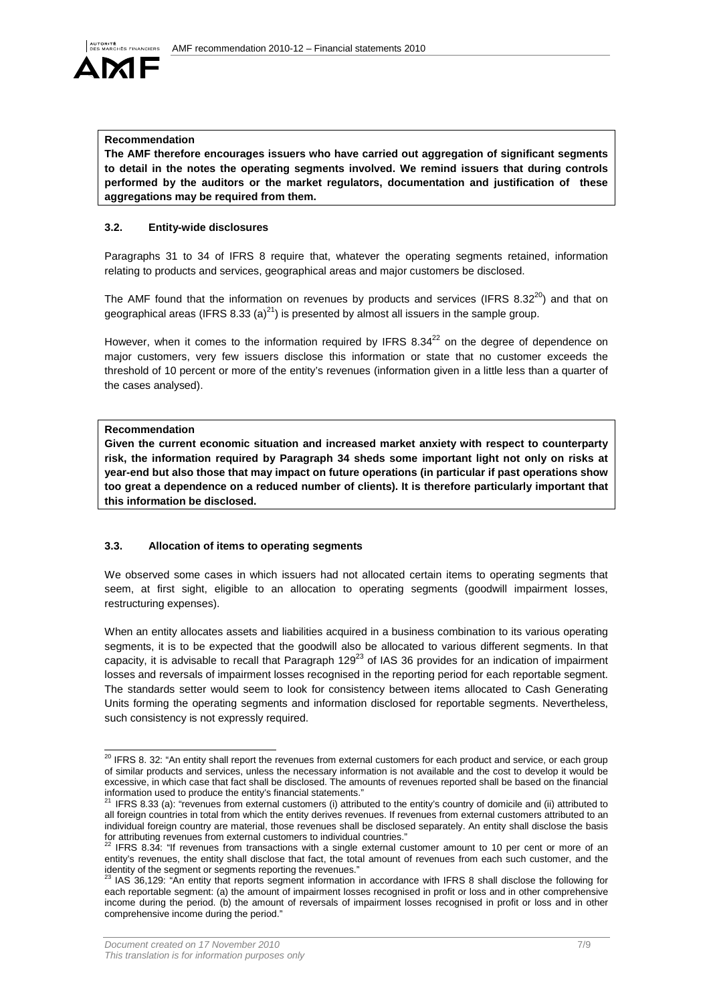

## **Recommendation**

**The AMF therefore encourages issuers who have carried out aggregation of significant segments to detail in the notes the operating segments involved. We remind issuers that during controls performed by the auditors or the market regulators, documentation and justification of these aggregations may be required from them.**

## **3.2. Entity-wide disclosures**

Paragraphs 31 to 34 of IFRS 8 require that, whatever the operating segments retained, information relating to products and services, geographical areas and major customers be disclosed.

The AMF found that the information on revenues by products and services (IFRS  $8.32^{20}$ ) and that on geographical areas (IFRS 8.33 (a)<sup>21</sup>) is presented by almost all issuers in the sample group.

However, when it comes to the information required by IFRS  $8.34^{22}$  on the degree of dependence on major customers, very few issuers disclose this information or state that no customer exceeds the threshold of 10 percent or more of the entity's revenues (information given in a little less than a quarter of the cases analysed).

## **Recommendation**

l

**Given the current economic situation and increased market anxiety with respect to counterparty risk, the information required by Paragraph 34 sheds some important light not only on risks at year-end but also those that may impact on future operations (in particular if past operations show too great a dependence on a reduced number of clients). It is therefore particularly important that this information be disclosed.**

# **3.3. Allocation of items to operating segments**

We observed some cases in which issuers had not allocated certain items to operating segments that seem, at first sight, eligible to an allocation to operating segments (goodwill impairment losses, restructuring expenses).

When an entity allocates assets and liabilities acquired in a business combination to its various operating segments, it is to be expected that the goodwill also be allocated to various different segments. In that capacity, it is advisable to recall that Paragraph  $129^{23}$  of IAS 36 provides for an indication of impairment losses and reversals of impairment losses recognised in the reporting period for each reportable segment. The standards setter would seem to look for consistency between items allocated to Cash Generating Units forming the operating segments and information disclosed for reportable segments. Nevertheless, such consistency is not expressly required.

 $^{20}$  IFRS 8. 32: "An entity shall report the revenues from external customers for each product and service, or each group of similar products and services, unless the necessary information is not available and the cost to develop it would be excessive, in which case that fact shall be disclosed. The amounts of revenues reported shall be based on the financial information used to produce the entity's financial statements."

<sup>&</sup>lt;sup>21</sup> IFRS 8.33 (a): "revenues from external customers (i) attributed to the entity's country of domicile and (ii) attributed to all foreign countries in total from which the entity derives revenues. If revenues from external customers attributed to an individual foreign country are material, those revenues shall be disclosed separately. An entity shall disclose the basis

for attributing revenues from external customers to individual countries."<br><sup>22</sup> IFRS 8.34: "If revenues from transactions with a single external customer amount to 10 per cent or more of an entity's revenues, the entity shall disclose that fact, the total amount of revenues from each such customer, and the

identity of the segment or segments reporting the revenues."<br><sup>23</sup> IAS 36,129: "An entity that reports segment information in accordance with IFRS 8 shall disclose the following for each reportable segment: (a) the amount of impairment losses recognised in profit or loss and in other comprehensive income during the period. (b) the amount of reversals of impairment losses recognised in profit or loss and in other comprehensive income during the period."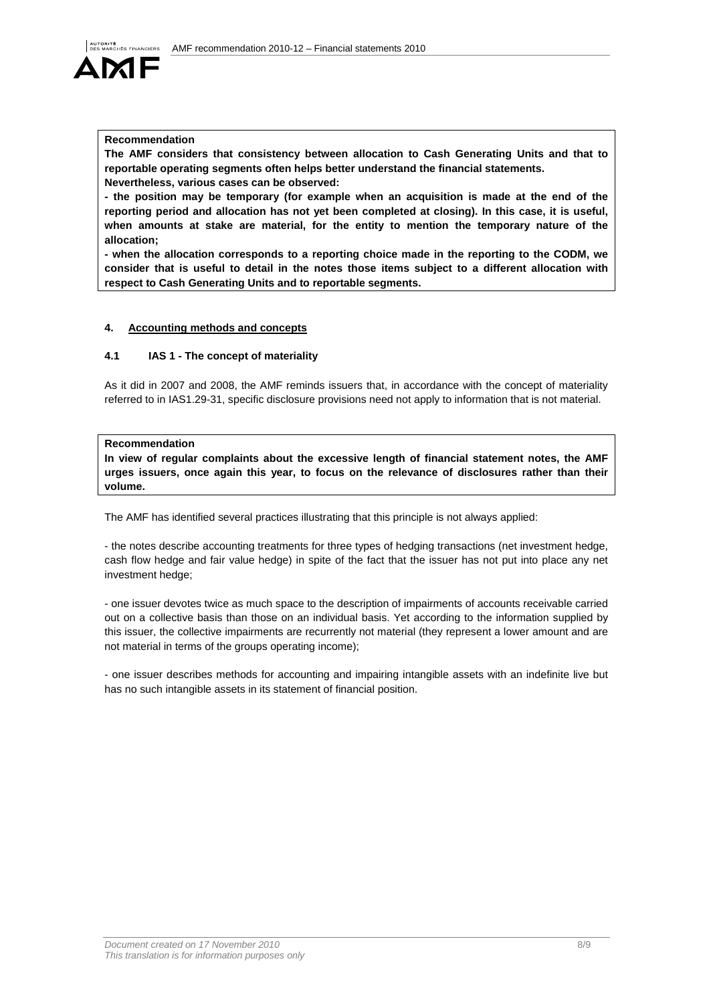

## **Recommendation**

**The AMF considers that consistency between allocation to Cash Generating Units and that to reportable operating segments often helps better understand the financial statements. Nevertheless, various cases can be observed:** 

**- the position may be temporary (for example when an acquisition is made at the end of the reporting period and allocation has not yet been completed at closing). In this case, it is useful, when amounts at stake are material, for the entity to mention the temporary nature of the allocation;**

**- when the allocation corresponds to a reporting choice made in the reporting to the CODM, we consider that is useful to detail in the notes those items subject to a different allocation with respect to Cash Generating Units and to reportable segments.** 

## **4. Accounting methods and concepts**

## **4.1 IAS 1 - The concept of materiality**

As it did in 2007 and 2008, the AMF reminds issuers that, in accordance with the concept of materiality referred to in IAS1.29-31, specific disclosure provisions need not apply to information that is not material.

## **Recommendation**

**In view of regular complaints about the excessive length of financial statement notes, the AMF urges issuers, once again this year, to focus on the relevance of disclosures rather than their volume.** 

The AMF has identified several practices illustrating that this principle is not always applied:

- the notes describe accounting treatments for three types of hedging transactions (net investment hedge, cash flow hedge and fair value hedge) in spite of the fact that the issuer has not put into place any net investment hedge;

- one issuer devotes twice as much space to the description of impairments of accounts receivable carried out on a collective basis than those on an individual basis. Yet according to the information supplied by this issuer, the collective impairments are recurrently not material (they represent a lower amount and are not material in terms of the groups operating income);

- one issuer describes methods for accounting and impairing intangible assets with an indefinite live but has no such intangible assets in its statement of financial position.